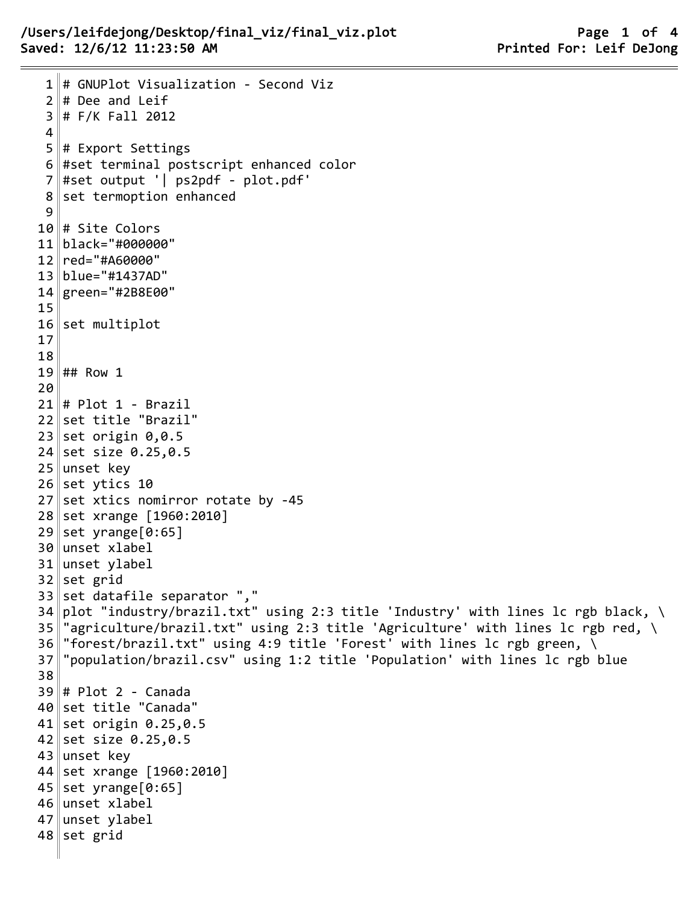```
1 # GNUPlot Visualization - Second Viz
 2 \parallel # Dee and Leif
 3 \# F/K Fall 2012
 4
 5 # Export Settings
 6 #set terminal postscript enhanced color
 7 #set output '| ps2pdf - plot.pdf'
 8 set termoption enhanced
 9
10 # Site Colors
11 black="#000000"
12 red="#A60000"
13 blue="#1437AD"
14 green="#2B8E00"
15
16 set multiplot
17
18
19 ## Row 1
20
21 # Plot 1 - Brazil
22 set title "Brazil"
23 set origin 0,0.524 set size 0.25,0.5
25 unset key
26 set ytics 10
27 set xtics nomirror rotate by -45
28 set xrange [1960:2010]
29 set yrange[0:65]
30 unset xlabel
31 unset ylabel
32 set grid
33 set datafile separator ","
34 plot "industry/brazil.txt" using 2:3 title 'Industry' with lines 1c rgb black, \
35 "agriculture/brazil.txt" using 2:3 title 'Agriculture' with lines lc rgb red, \
36 "forest/brazil.txt" using 4:9 title 'Forest' with lines lc rgb green, \
37 "population/brazil.csv" using 1:2 title 'Population' with lines lc rgb blue
38
39 # Plot 2 - Canada
40 set title "Canada"
41 set origin 0.25, 0.542 set size 0.25, 0.543 unset key
44 set xrange [1960:2010]
45 set yrange[0:65]
46 unset xlabel
47 unset ylabel
48 set grid
```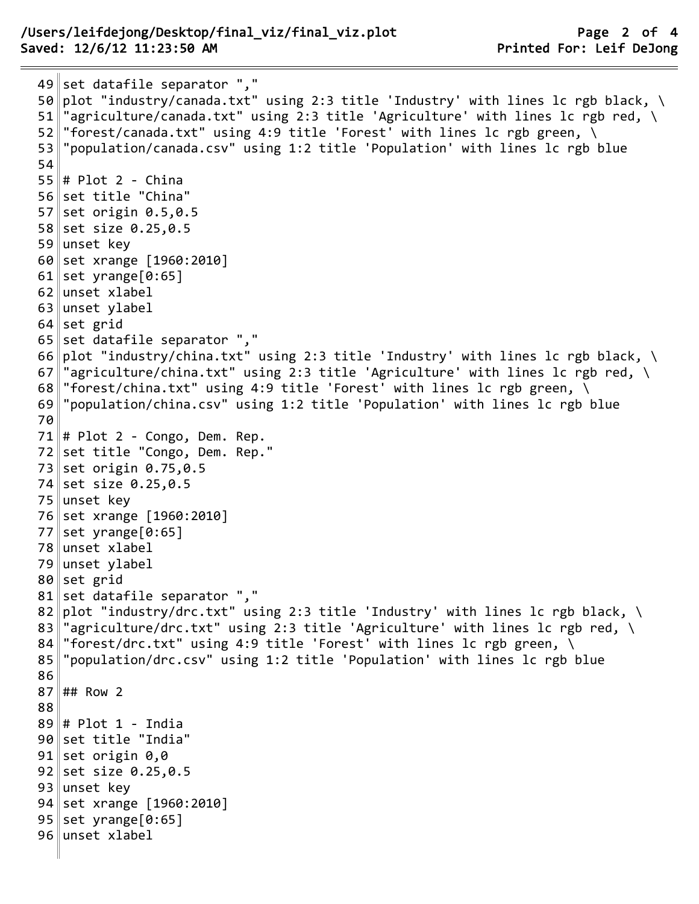```
49 set datafile separator ","
50 plot "industry/canada.txt" using 2:3 title 'Industry' with lines lc rgb black, \
51 "agriculture/canada.txt" using 2:3 title 'Agriculture' with lines lc rgb red, \setminus52 "forest/canada.txt" using 4:9 title 'Forest' with lines lc rgb green, \setminus53 "population/canada.csv" using 1:2 title 'Population' with lines lc rgb blue
54
55 # Plot 2 - China
56 set title "China"
57 set origin 0.5,0.5
58 set size 0.25, 0.559 unset key
60 set xrange [1960:2010]
61 set yrange [0:65]
62 unset xlabel
63 unset ylabel
64 set grid
65 set datafile separator ","
66 plot "industry/china.txt" using 2:3 title 'Industry' with lines lc rgb black, \setminus67 "agriculture/china.txt" using 2:3 title 'Agriculture' with lines lc rgb red, \setminus68 "forest/china.txt" using 4:9 title 'Forest' with lines 1c rgb green, \setminus69 "population/china.csv" using 1:2 title 'Population' with lines lc rgb blue
70
71 # Plot 2 - Congo, Dem. Rep.
72 set title "Congo, Dem. Rep."
73 set origin 0.75,0.5
74 set size 0.25, 0.575 unset key
76 set xrange [1960:2010]
77 set yrange[0:65]
78 unset xlabel
79 unset ylabel
80 set grid
81 set datafile separator ","
82 plot "industry/drc.txt" using 2:3 title 'Industry' with lines 1c rgb black, \setminus83 "agriculture/drc.txt" using 2:3 title 'Agriculture' with lines 1c rgb red, \setminus84 "forest/drc.txt" using 4:9 title 'Forest' with lines lc rgb green, \setminus85 "population/drc.csv" using 1:2 title 'Population' with lines lc rgb blue
86
87 ## Row 2
88
89 # Plot 1 - India
90 set title "India"
91 set origin 0,092 set size 0.25, 0.593 unset key
94 set xrange [1960:2010]
95 set yrange[0:65]
96 unset xlabel
```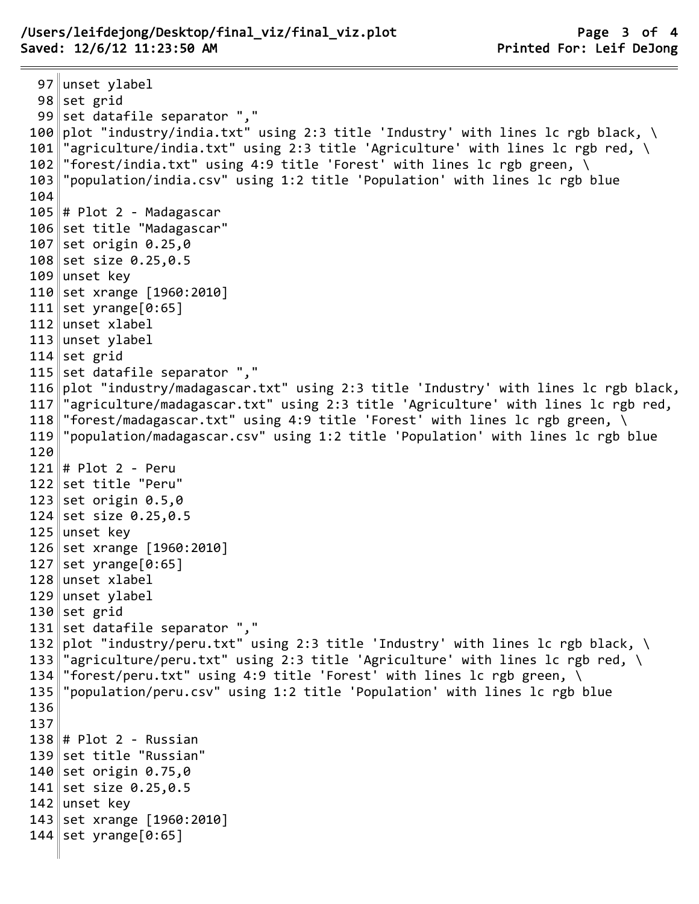## /Users/leifdejong/Desktop/final\_viz/final\_viz.plot Page 3 of 4 Saved: 12/6/12 11:23:50 AM **Printed For: Leif DeJong**

97 unset ylabel set grid 99 set datafile separator "," 100 plot "industry/india.txt" using 2:3 title 'Industry' with lines lc rgb black, \ 101  $\|$  "agriculture/india.txt" using 2:3 title 'Agriculture' with lines lc rgb red, \  $\|$ "forest/india.txt" using 4:9 title 'Forest' with lines lc rgb green, \ "population/india.csv" using 1:2 title 'Population' with lines lc rgb blue # Plot 2 - Madagascar set title "Madagascar" set origin 0.25,0 set size 0.25,0.5 109 unset key set xrange [1960:2010] 111 set yrange [0:65] unset xlabel unset ylabel set grid 115 set datafile separator "," plot "industry/madagascar.txt" using 2:3 title 'Industry' with lines lc rgb black,  $\parallel$ "agriculture/madagascar.txt" using 2:3 title 'Agriculture' with lines lc rgb red, 118 "forest/madagascar.txt" using 4:9 title 'Forest' with lines lc rgb green,  $\setminus$  "population/madagascar.csv" using 1:2 title 'Population' with lines lc rgb blue # Plot 2 - Peru set title "Peru" set origin 0.5,0 set size 0.25,0.5 125 unset key 126 set xrange [1960:2010] set yrange[0:65] unset xlabel unset ylabel set grid 131 set datafile separator "," 132 $\|$ plot "industry/peru.txt" using 2:3 title 'Industry' with lines lc rgb black, \  $\parallel$ "agriculture/peru.txt" using 2:3 title 'Agriculture' with lines lc rgb red, \  $\|$ "forest/peru.txt" using 4:9 title 'Forest' with lines lc rgb green,  $\setminus$  "population/peru.csv" using 1:2 title 'Population' with lines lc rgb blue # Plot 2 - Russian 139 set title "Russian" set origin 0.75,0 set size 0.25,0.5 142 unset key 143 set xrange [1960:2010] set yrange[0:65]